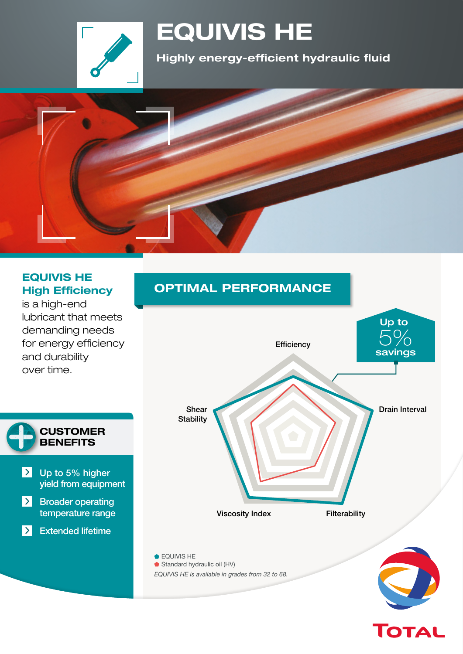

# **EQUIVIS HE**

**Highly energy-efficient hydraulic fluid**



#### **EQUIVIS HE High Efficiency**

is a high-end lubricant that meets demanding needs for energy efficiency and durability over time.



### **OPTIMAL PERFORMANCE**